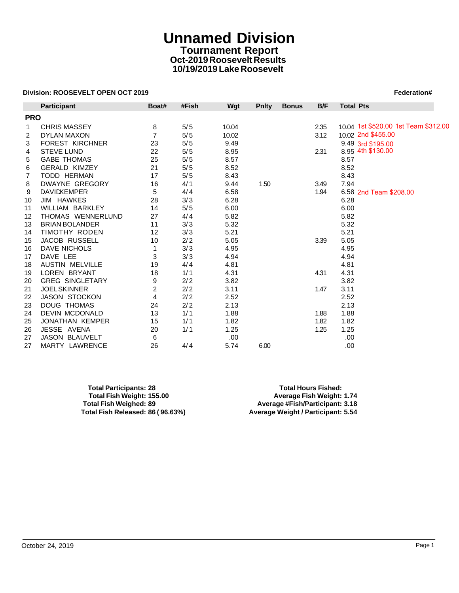# **Unnamed Division Tournament Report Oct-2019 Roosevelt Results 10/19/2019 Lake Roosevelt**

### **Division: ROOSEVELT OPEN OCT 2019 Federation# Federation# Federation#**

|            | Division: ROOSEVELT OPEN OCT 2019 |                |       |       |              |              |      | Federation#                          |
|------------|-----------------------------------|----------------|-------|-------|--------------|--------------|------|--------------------------------------|
|            | <b>Participant</b>                | Boat#          | #Fish | Wgt   | <b>Pnity</b> | <b>Bonus</b> | B/F  | <b>Total Pts</b>                     |
| <b>PRO</b> |                                   |                |       |       |              |              |      |                                      |
| 1          | <b>CHRIS MASSEY</b>               | 8              | 5/5   | 10.04 |              |              | 2.35 | 10.04 1st \$520.00 1st Team \$312.00 |
| 2          | DYLAN MAXON                       | $\overline{7}$ | 5/5   | 10.02 |              |              | 3.12 | 10.02 2nd \$455.00                   |
| 3          | <b>FOREST KIRCHNER</b>            | 23             | 5/5   | 9.49  |              |              |      | 9.49 3rd \$195.00                    |
| 4          | <b>STEVE LUND</b>                 | 22             | 5/5   | 8.95  |              |              | 2.31 | 8.95 4th \$130.00                    |
| 5          | <b>GABE THOMAS</b>                | 25             | 5/5   | 8.57  |              |              |      | 8.57                                 |
| 6          | <b>GERALD KIMZEY</b>              | 21             | 5/5   | 8.52  |              |              |      | 8.52                                 |
| 7          | <b>TODD HERMAN</b>                | 17             | 5/5   | 8.43  |              |              |      | 8.43                                 |
| 8          | DWAYNE GREGORY                    | 16             | 4/1   | 9.44  | 1.50         |              | 3.49 | 7.94                                 |
| 9          | <b>DAVIDKEMPER</b>                | 5              | 4/4   | 6.58  |              |              | 1.94 | 6.58 2nd Team \$208.00               |
| 10         | JIM HAWKES                        | 28             | 3/3   | 6.28  |              |              |      | 6.28                                 |
| 11         | WILLIAM BARKLEY                   | 14             | 5/5   | 6.00  |              |              |      | 6.00                                 |
| 12         | THOMAS WENNERLUND                 | 27             | 4/4   | 5.82  |              |              |      | 5.82                                 |
| 13         | <b>BRIAN BOLANDER</b>             | 11             | 3/3   | 5.32  |              |              |      | 5.32                                 |
| 14         | <b>TIMOTHY RODEN</b>              | 12             | 3/3   | 5.21  |              |              |      | 5.21                                 |
| 15         | <b>JACOB RUSSELL</b>              | 10             | 2/2   | 5.05  |              |              | 3.39 | 5.05                                 |
| 16         | <b>DAVE NICHOLS</b>               | 1              | 3/3   | 4.95  |              |              |      | 4.95                                 |
| 17         | DAVE LEE                          | 3              | 3/3   | 4.94  |              |              |      | 4.94                                 |
| 18         | <b>AUSTIN MELVILLE</b>            | 19             | 4/4   | 4.81  |              |              |      | 4.81                                 |
| 19         | <b>LOREN BRYANT</b>               | 18             | 1/1   | 4.31  |              |              | 4.31 | 4.31                                 |
| 20         | <b>GREG SINGLETARY</b>            | 9              | 2/2   | 3.82  |              |              |      | 3.82                                 |
| 21         | <b>JOELSKINNER</b>                | 2              | 2/2   | 3.11  |              |              | 1.47 | 3.11                                 |
| 22         | <b>JASON STOCKON</b>              | 4              | 2/2   | 2.52  |              |              |      | 2.52                                 |
| 23         | <b>DOUG THOMAS</b>                | 24             | 2/2   | 2.13  |              |              |      | 2.13                                 |
| 24         | <b>DEVIN MCDONALD</b>             | 13             | 1/1   | 1.88  |              |              | 1.88 | 1.88                                 |
| 25         | JONATHAN KEMPER                   | 15             | 1/1   | 1.82  |              |              | 1.82 | 1.82                                 |
| 26         | JESSE AVENA                       | 20             | 1/1   | 1.25  |              |              | 1.25 | 1.25                                 |
| 27         | JASON BLAUVELT                    | 6              |       | .00.  |              |              |      | .00.                                 |
| 27         | MARTY LAWRENCE                    | 26             | 4/4   | 5.74  | 6.00         |              |      | .00                                  |

| <b>Total Participants: 28</b>    |  |
|----------------------------------|--|
| Total Fish Weight: 155.00        |  |
| <b>Total Fish Weighed: 89</b>    |  |
| Total Fish Released: 86 (96.63%) |  |

**Total Hours Fished: Total Fish Weight: 155.00 Average Fish Weight: 1.74 Total Fish Weighed: 89 Average #Fish/Participant: 3.18 Total Fish Released: 86 ( 96.63%) Average Weight / Participant: 5.54**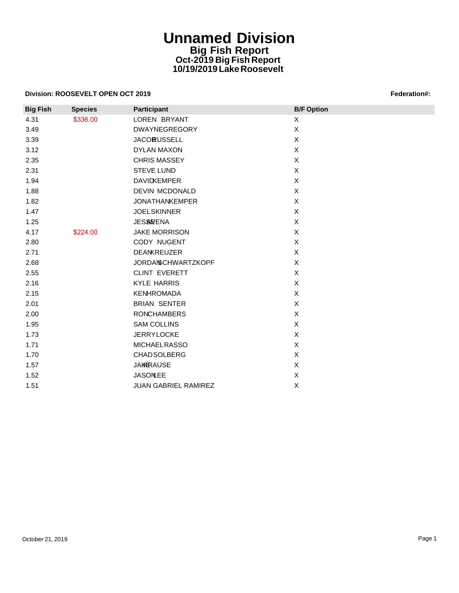## **Unnamed Division Big Fish Report Oct-2019 Big Fish Report 10/19/2019 Lake Roosevelt**

#### **Division: ROOSEVELT OPEN OCT 2019 Federation: CONSUMER SECURITY IN A SECURITY OF EXAMPLE 2019**

|                 | Division: ROOSEVELT OPEN OCT 2019 |                             | Federation#:              |  |  |  |
|-----------------|-----------------------------------|-----------------------------|---------------------------|--|--|--|
| <b>Big Fish</b> | <b>Species</b>                    | <b>Participant</b>          | <b>B/F Option</b>         |  |  |  |
| 4.31            | \$336.00                          | LOREN BRYANT                | X                         |  |  |  |
| 3.49            |                                   | <b>DWAYNEGREGORY</b>        | $\mathsf{X}$              |  |  |  |
| 3.39            |                                   | <b>JACORUSSELL</b>          | $\boldsymbol{\mathsf{X}}$ |  |  |  |
| 3.12            |                                   | <b>DYLAN MAXON</b>          | $\pmb{\times}$            |  |  |  |
| 2.35            |                                   | <b>CHRIS MASSEY</b>         | $\pmb{\times}$            |  |  |  |
| 2.31            |                                   | <b>STEVE LUND</b>           | $\boldsymbol{\mathsf{X}}$ |  |  |  |
| 1.94            |                                   | <b>DAVIDKEMPER</b>          | $\boldsymbol{\mathsf{X}}$ |  |  |  |
| 1.88            |                                   | <b>DEVIN MCDONALD</b>       | $\mathsf{X}$              |  |  |  |
| 1.82            |                                   | <b>JONATHANKEMPER</b>       | $\boldsymbol{\mathsf{X}}$ |  |  |  |
| 1.47            |                                   | <b>JOELSKINNER</b>          | $\mathsf{X}$              |  |  |  |
| 1.25            |                                   | <b>JES&amp;FENA</b>         | $\pmb{\times}$            |  |  |  |
| 4.17            | \$224.00                          | <b>JAKE MORRISON</b>        | $\boldsymbol{\mathsf{X}}$ |  |  |  |
| 2.80            |                                   | CODY NUGENT                 | $\pmb{\times}$            |  |  |  |
| 2.71            |                                   | <b>DEANKREUZER</b>          | $\mathsf{X}$              |  |  |  |
| 2.68            |                                   | <b>JORDANSCHWARTZKOPF</b>   | $\mathsf{X}$              |  |  |  |
| 2.55            |                                   | <b>CLINT EVERETT</b>        | $\pmb{\times}$            |  |  |  |
| 2.16            |                                   | <b>KYLE HARRIS</b>          | $\mathsf{X}$              |  |  |  |
| 2.15            |                                   | <b>KENHROMADA</b>           | $\mathsf X$               |  |  |  |
| 2.01            |                                   | <b>BRIAN SENTER</b>         | $\mathsf X$               |  |  |  |
| 2.00            |                                   | <b>RONCHAMBERS</b>          | $\mathsf{X}$              |  |  |  |
| 1.95            |                                   | <b>SAM COLLINS</b>          | $\mathsf{X}$              |  |  |  |
| 1.73            |                                   | <b>JERRYLOCKE</b>           | $\pmb{\times}$            |  |  |  |
| 1.71            |                                   | <b>MICHAELRASSO</b>         | $\boldsymbol{\mathsf{X}}$ |  |  |  |
| 1.70            |                                   | <b>CHADSOLBERG</b>          | $\boldsymbol{\mathsf{X}}$ |  |  |  |
| 1.57            |                                   | <b>JAKKRAUSE</b>            | $\mathsf X$               |  |  |  |
| 1.52            |                                   | <b>JASONLEE</b>             | X                         |  |  |  |
| 1.51            |                                   | <b>JUAN GABRIEL RAMIREZ</b> | $\pmb{\times}$            |  |  |  |
|                 |                                   |                             |                           |  |  |  |